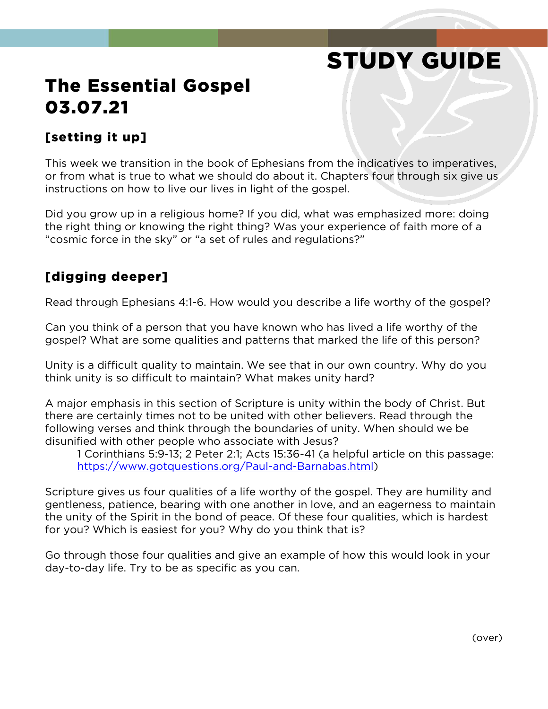# STUDY GUIDE

## The Essential Gospel 03.07.21

#### [setting it up]

This week we transition in the book of Ephesians from the indicatives to imperatives, or from what is true to what we should do about it. Chapters four through six give us instructions on how to live our lives in light of the gospel.

Did you grow up in a religious home? If you did, what was emphasized more: doing the right thing or knowing the right thing? Was your experience of faith more of a "cosmic force in the sky" or "a set of rules and regulations?"

#### [digging deeper]

Read through Ephesians 4:1-6. How would you describe a life worthy of the gospel?

Can you think of a person that you have known who has lived a life worthy of the gospel? What are some qualities and patterns that marked the life of this person?

Unity is a difficult quality to maintain. We see that in our own country. Why do you think unity is so difficult to maintain? What makes unity hard?

A major emphasis in this section of Scripture is unity within the body of Christ. But there are certainly times not to be united with other believers. Read through the following verses and think through the boundaries of unity. When should we be disunified with other people who associate with Jesus?

1 Corinthians 5:9-13; 2 Peter 2:1; Acts 15:36-41 (a helpful article on this passage: [https://www.gotquestions.org/Paul-and-Barnabas.html\)](https://www.gotquestions.org/Paul-and-Barnabas.html)

Scripture gives us four qualities of a life worthy of the gospel. They are humility and gentleness, patience, bearing with one another in love, and an eagerness to maintain the unity of the Spirit in the bond of peace. Of these four qualities, which is hardest for you? Which is easiest for you? Why do you think that is?

Go through those four qualities and give an example of how this would look in your day-to-day life. Try to be as specific as you can.